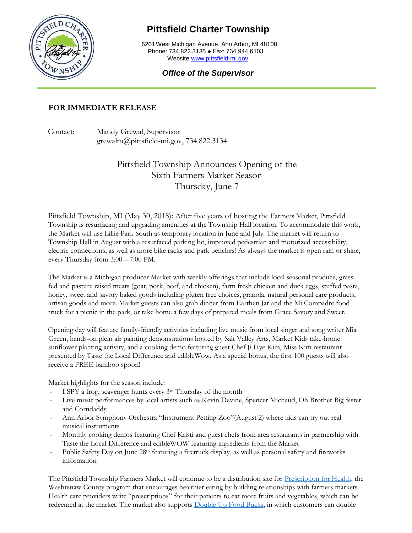

## **Pittsfield Charter Township**

6201West Michigan Avenue, Ann Arbor, MI 48108 Phone: 734.822.3135 ● Fax: 734.944.6103 Website [www.pittsfield-mi.gov](http://www.pittsfield-mi.gov/)

## *Office of the Supervisor*

## **FOR IMMEDIATE RELEASE**

Contact: Mandy Grewal, Supervisor grewalm@pittsfield-mi.gov, 734.822.3134

## Pittsfield Township Announces Opening of the Sixth Farmers Market Season Thursday, June 7

Pittsfield Township, MI (May 30, 2018): After five years of hosting the Farmers Market, Pittsfield Township is resurfacing and upgrading amenities at the Township Hall location. To accommodate this work, the Market will use Lillie Park South as temporary location in June and July. The market will return to Township Hall in August with a resurfaced parking lot, improved pedestrian and motorized accessibility, electric connections, as well as more bike racks and park benches! As always the market is open rain or shine, every Thursday from 3:00 – 7:00 PM.

The Market is a Michigan producer Market with weekly offerings that include local seasonal produce, grass fed and pasture raised meats (goat, pork, beef, and chicken), farm fresh chicken and duck eggs, stuffed pasta, honey, sweet and savory baked goods including gluten free choices, granola, natural personal care products, artisan goods and more. Market guests can also grab dinner from Earthen Jar and the Mi Compadre food truck for a picnic in the park, or take home a few days of prepared meals from Grace Savory and Sweet.

Opening day will feature family-friendly activities including live music from local singer and song writer Mia Green, hands-on plein air painting demonstrations hosted by Salt Valley Arts, Market Kids take-home sunflower planting activity, and a cooking demo featuring guest Chef Ji Hye Kim, Miss Kim restaurant presented by Taste the Local Difference and edibleWow. As a special bonus, the first 100 guests will also receive a FREE bamboo spoon!

Market highlights for the season include:

- I SPY a frog, scavenger hunts every 3rd Thursday of the month
- Live music performances by local artists such as Kevin Devine, Spencer Michaud, Oh Brother Big Sister and Corndaddy
- Ann Arbor Symphony Orchestra "Instrument Petting Zoo"(August 2) where kids can try out real musical instruments
- Monthly cooking demos featuring Chef Kristi and guest chefs from area restaurants in partnership with Taste the Local Difference and edibleWOW featuring ingredients from the Market
- Public Safety Day on June 28<sup>th</sup> featuring a firetruck display, as well as personal safety and fireworks information

The Pittsfield Township Farmers Market will continue to be a distribution site for [Prescription for Health,](https://www.washtenaw.org/1829/Prescription-for-Health) the Washtenaw County program that encourages healthier eating by building relationships with farmers markets. Health care providers write "prescriptions" for their patients to eat more fruits and vegetables, which can be redeemed at the market. The market also supports [Double Up Food Bucks,](http://www.doubleupfoodbucks.org/) in which customers can double